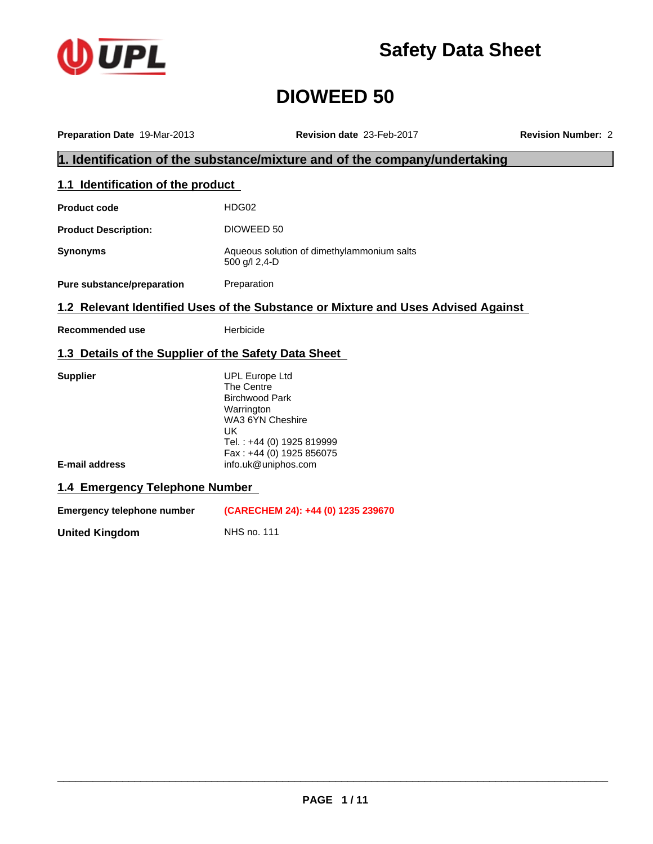

**Safety Data Sheet**

# **DIOWEED 50**

| Preparation Date 19-Mar-2013                         | Revision date 23-Feb-2017                                                                                                                                                                   | <b>Revision Number: 2</b> |
|------------------------------------------------------|---------------------------------------------------------------------------------------------------------------------------------------------------------------------------------------------|---------------------------|
|                                                      | 1. Identification of the substance/mixture and of the company/undertaking                                                                                                                   |                           |
| 1.1 Identification of the product                    |                                                                                                                                                                                             |                           |
| <b>Product code</b>                                  | HDG02                                                                                                                                                                                       |                           |
| <b>Product Description:</b>                          | DIOWEED 50                                                                                                                                                                                  |                           |
| <b>Synonyms</b>                                      | Aqueous solution of dimethylammonium salts<br>500 g/l 2,4-D                                                                                                                                 |                           |
| Pure substance/preparation                           | Preparation                                                                                                                                                                                 |                           |
|                                                      | 1.2 Relevant Identified Uses of the Substance or Mixture and Uses Advised Against                                                                                                           |                           |
| <b>Recommended use</b>                               | Herbicide                                                                                                                                                                                   |                           |
| 1.3 Details of the Supplier of the Safety Data Sheet |                                                                                                                                                                                             |                           |
| <b>Supplier</b><br>E-mail address                    | <b>UPL Europe Ltd</b><br>The Centre<br><b>Birchwood Park</b><br>Warrington<br>WA3 6YN Cheshire<br><b>UK</b><br>Tel.: +44 (0) 1925 819999<br>Fax: +44 (0) 1925 856075<br>info.uk@uniphos.com |                           |
| 1.4 Emergency Telephone Number                       |                                                                                                                                                                                             |                           |
| <b>Emergency telephone number</b>                    | (CARECHEM 24): +44 (0) 1235 239670                                                                                                                                                          |                           |
| <b>United Kingdom</b>                                | <b>NHS no. 111</b>                                                                                                                                                                          |                           |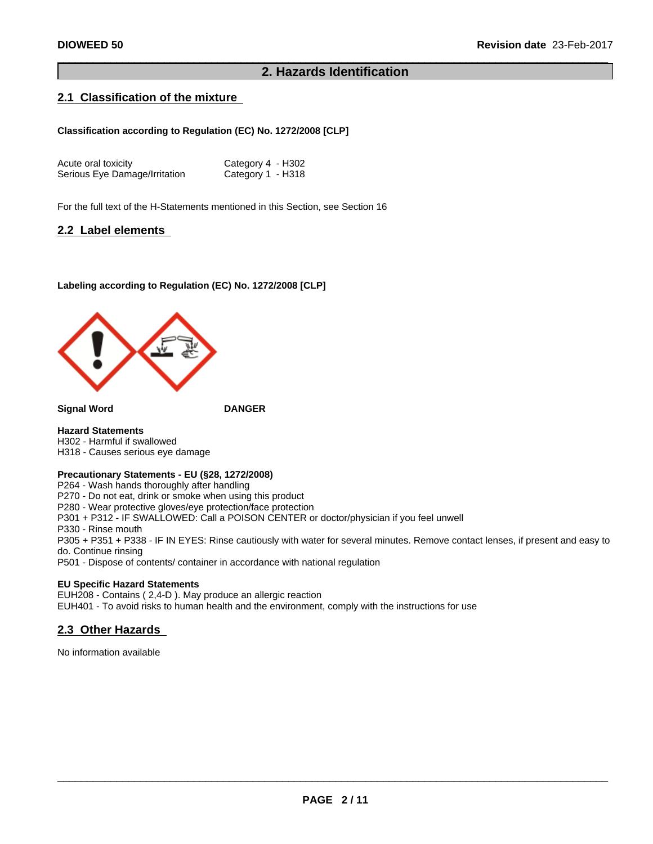## **2. Hazards Identification**

## **2.1 Classification of the mixture**

#### **Classification according to Regulation (EC) No. 1272/2008 [CLP]**

| Acute oral toxicity           | Category 4 - H302 |
|-------------------------------|-------------------|
| Serious Eye Damage/Irritation | Category 1 - H318 |

For the full text of the H-Statements mentioned in this Section, see Section 16

#### **2.2 Label elements**

#### **Labeling according to Regulation (EC) No. 1272/2008 [CLP]**



**Signal Word DANGER**

**Hazard Statements** H302 - Harmful if swallowed H318 - Causes serious eye damage

#### **Precautionary Statements - EU (§28, 1272/2008)**

P264 - Wash hands thoroughly after handling P270 - Do not eat, drink or smoke when using this product P280 - Wear protective gloves/eye protection/face protection P301 + P312 - IF SWALLOWED: Call a POISON CENTER or doctor/physician if you feel unwell P330 - Rinse mouth P305 + P351 + P338 - IF IN EYES: Rinse cautiously with water forseveral minutes. Remove contact lenses, if present and easy to do. Continue rinsing P501 - Dispose of contents/ container in accordance with national regulation

#### **EU Specific Hazard Statements**

EUH208 - Contains (2,4-D). May produce an allergic reaction EUH401 - To avoid risks to human health and the environment, comply with the instructions for use

## **2.3 Other Hazards**

No information available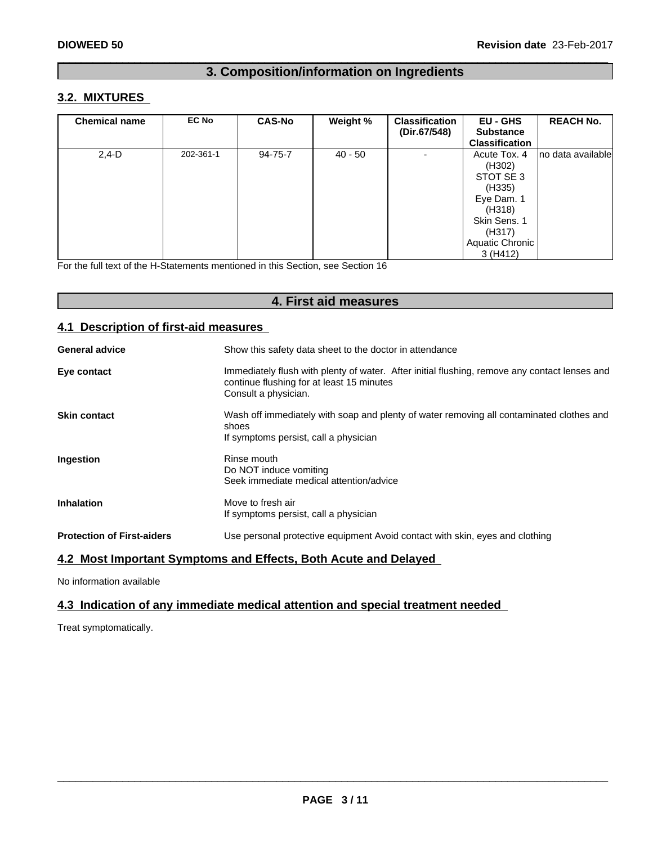## **3. Composition/information on Ingredients**

## **3.2. MIXTURES**

| <b>Chemical name</b> | <b>EC No</b> | <b>CAS-No</b> | Weight %  | <b>Classification</b><br>(Dir.67/548) | <b>EU - GHS</b><br><b>Substance</b><br><b>Classification</b>                                                                  | <b>REACH No.</b>  |
|----------------------|--------------|---------------|-----------|---------------------------------------|-------------------------------------------------------------------------------------------------------------------------------|-------------------|
| $2,4-D$              | 202-361-1    | 94-75-7       | $40 - 50$ | $\overline{\phantom{0}}$              | Acute Tox. 4<br>(H302)<br>STOT SE 3<br>(H335)<br>Eye Dam. 1<br>(H318)<br>Skin Sens. 1<br>(H317)<br>Aquatic Chronic<br>3(H412) | no data available |

For the full text of the H-Statements mentioned in this Section, see Section 16

## **4. First aid measures**

## **4.1 Description of first-aid measures**

| <b>General advice</b>             | Show this safety data sheet to the doctor in attendance                                                                                                            |
|-----------------------------------|--------------------------------------------------------------------------------------------------------------------------------------------------------------------|
| Eye contact                       | Immediately flush with plenty of water. After initial flushing, remove any contact lenses and<br>continue flushing for at least 15 minutes<br>Consult a physician. |
| <b>Skin contact</b>               | Wash off immediately with soap and plenty of water removing all contaminated clothes and<br>shoes<br>If symptoms persist, call a physician                         |
| Ingestion                         | Rinse mouth<br>Do NOT induce vomiting<br>Seek immediate medical attention/advice                                                                                   |
| <b>Inhalation</b>                 | Move to fresh air<br>If symptoms persist, call a physician                                                                                                         |
| <b>Protection of First-aiders</b> | Use personal protective equipment Avoid contact with skin, eyes and clothing                                                                                       |

## **4.2 Most Important Symptoms and Effects, Both Acute and Delayed**

No information available

## **4.3 Indication of any immediate medical attention and special treatment needed**

Treat symptomatically.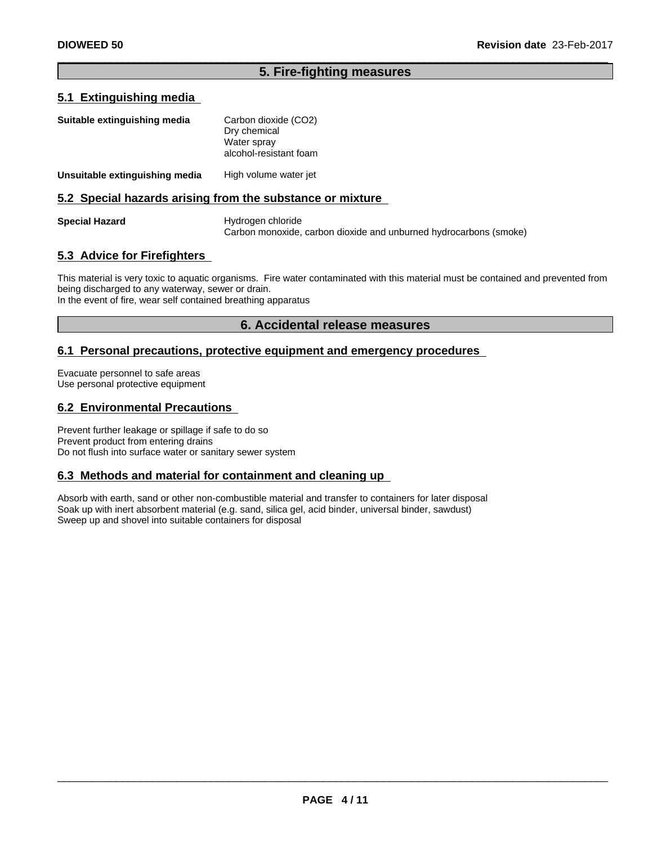## **5. Fire-fighting measures**

## **5.1 Extinguishing media**

| Suitable extinguishing media   | Carbon dioxide (CO2)<br>Dry chemical<br>Water spray<br>alcohol-resistant foam |
|--------------------------------|-------------------------------------------------------------------------------|
| Unsuitable extinguishing media | High volume water jet                                                         |
|                                | 5.2 Special hazards arising from the substance or mixture                     |

**Special Hazard** Hydrogen chloride Carbon monoxide, carbon dioxide and unburned hydrocarbons (smoke)

## **5.3 Advice for Firefighters**

This material is very toxic to aquatic organisms. Fire water contaminated with this material must be contained and prevented from being discharged to any waterway, sewer or drain.

In the event of fire, wear self contained breathing apparatus

## **6. Accidental release measures**

## **6.1 Personal precautions, protective equipment and emergency procedures**

Evacuate personnel to safe areas Use personal protective equipment

## **6.2 Environmental Precautions**

Prevent further leakage or spillage if safe to do so Prevent product from entering drains Do not flush into surface water or sanitary sewer system

#### **6.3 Methods and material for containment and cleaning up**

Absorb with earth, sand or other non-combustible material and transfer to containers for later disposal Soak up with inert absorbent material (e.g. sand, silica gel, acid binder, universal binder, sawdust) Sweep up and shovel into suitable containers for disposal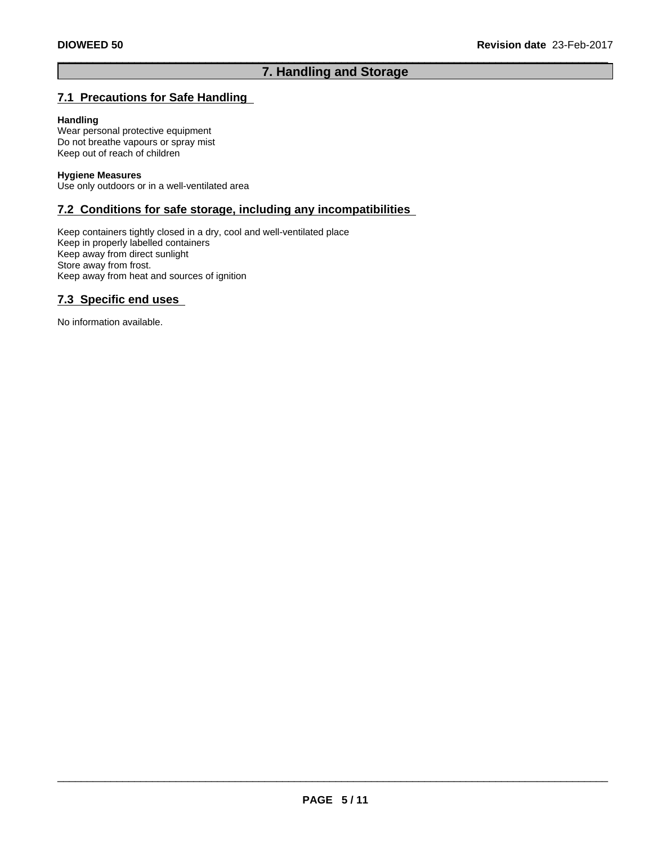## **7. Handling and Storage**

## **7.1 Precautions for Safe Handling**

#### **Handling**

Wear personal protective equipment Do not breathe vapours or spray mist Keep out of reach of children

#### **Hygiene Measures**

Use only outdoors or in a well-ventilated area

## **7.2 Conditions for safe storage, including any incompatibilities**

Keep containers tightly closed in a dry, cool and well-ventilated place Keep in properly labelled containers Keep away from direct sunlight Store away from frost. Keep away from heat and sources of ignition

## **7.3 Specific end uses**

No information available.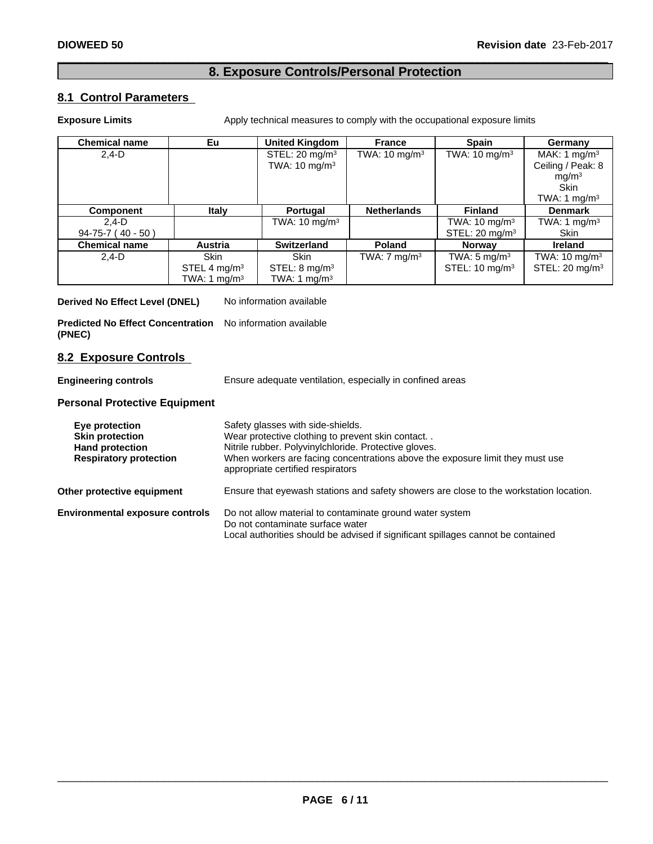## **8. Exposure Controls/Personal Protection**

## **8.1 Control Parameters**

**Exposure Limits** Apply technical measures to comply with the occupational exposure limits

| <b>Chemical name</b> | Eu                       | <b>United Kingdom</b>     | <b>France</b>            | <b>Spain</b>              | Germany                   |
|----------------------|--------------------------|---------------------------|--------------------------|---------------------------|---------------------------|
| $2,4-D$              |                          | STEL: $20 \text{ mg/m}^3$ | TWA: $10 \text{ mg/m}^3$ | TWA: $10 \text{ mg/m}^3$  | MAK: 1 mg/m <sup>3</sup>  |
|                      |                          | TWA: $10 \text{ mg/m}^3$  |                          |                           | Ceiling / Peak: 8         |
|                      |                          |                           |                          |                           | mg/m <sup>3</sup>         |
|                      |                          |                           |                          |                           | <b>Skin</b>               |
|                      |                          |                           |                          |                           | TWA: 1 mg/m <sup>3</sup>  |
| <b>Component</b>     | Italy                    | Portugal                  | <b>Netherlands</b>       | <b>Finland</b>            | <b>Denmark</b>            |
| $2.4-D$              |                          | TWA: $10 \text{ mg/m}^3$  |                          | TWA: $10 \text{ mg/m}^3$  | TWA: 1 mg/m $3$           |
| $94-75-7$ (40 - 50)  |                          |                           |                          | STEL: $20 \text{ mg/m}^3$ | <b>Skin</b>               |
| <b>Chemical name</b> | Austria                  | <b>Switzerland</b>        | <b>Poland</b>            | <b>Norway</b>             | <b>Ireland</b>            |
| $2.4-D$              | <b>Skin</b>              | <b>Skin</b>               | TWA: $7 \text{ mg/m}^3$  | TWA: $5 \text{ mg/m}^3$   | TWA: $10 \text{ mg/m}^3$  |
|                      | STEL 4 mg/m <sup>3</sup> | STEL: $8 \text{ mg/m}^3$  |                          | STEL: $10 \text{ mg/m}^3$ | STEL: $20 \text{ mg/m}^3$ |
|                      | TWA: 1 mg/m $3$          | TWA: 1 mg/m $3$           |                          |                           |                           |

**Derived No Effect Level (DNEL)** No information available

**Predicted No Effect Concentration** No information available **(PNEC)**

#### **8.2 Exposure Controls**

**Engineering controls** Ensure adequate ventilation, especially in confined areas

#### **Personal Protective Equipment**

| Eye protection<br><b>Skin protection</b><br><b>Hand protection</b><br><b>Respiratory protection</b> | Safety glasses with side-shields.<br>Wear protective clothing to prevent skin contact<br>Nitrile rubber. Polyvinylchloride. Protective gloves.<br>When workers are facing concentrations above the exposure limit they must use<br>appropriate certified respirators |
|-----------------------------------------------------------------------------------------------------|----------------------------------------------------------------------------------------------------------------------------------------------------------------------------------------------------------------------------------------------------------------------|
| Other protective equipment                                                                          | Ensure that eyewash stations and safety showers are close to the workstation location.                                                                                                                                                                               |
| <b>Environmental exposure controls</b>                                                              | Do not allow material to contaminate ground water system<br>Do not contaminate surface water<br>Local authorities should be advised if significant spillages cannot be contained                                                                                     |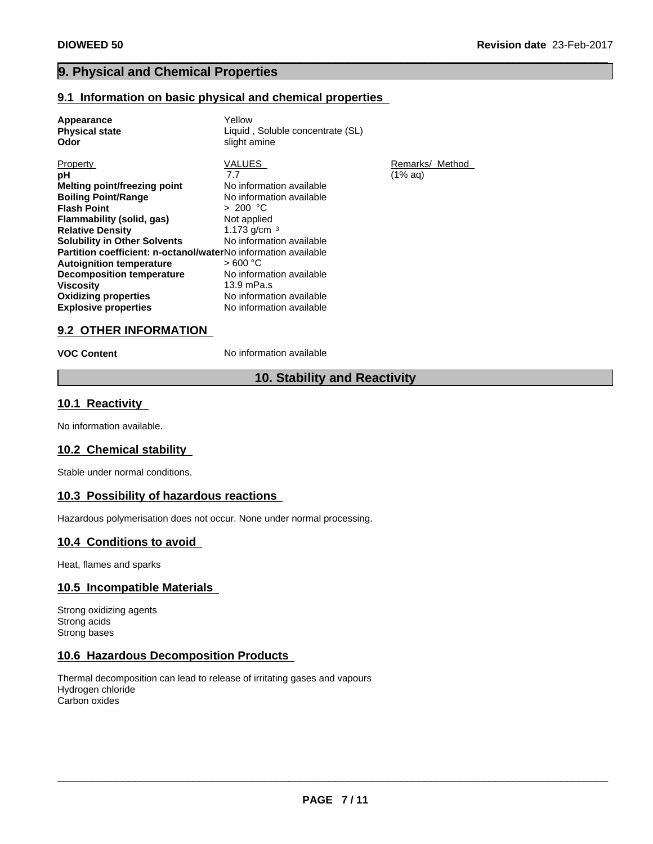## **9. Physical and Chemical Properties**

#### **9.1 Information on basic physical and chemical properties**

| Appearance<br><b>Physical state</b><br>Odor                           | Yellow<br>Liquid, Soluble concentrate (SL)<br>slight amine |                 |
|-----------------------------------------------------------------------|------------------------------------------------------------|-----------------|
| Property                                                              | VALUES                                                     | Remarks/ Method |
| рH                                                                    | 7.7                                                        | (1% aa)         |
| Melting point/freezing point                                          | No information available                                   |                 |
| <b>Boiling Point/Range</b>                                            | No information available                                   |                 |
| <b>Flash Point</b>                                                    | > 200 °C                                                   |                 |
| Flammability (solid, gas)                                             | Not applied                                                |                 |
| <b>Relative Density</b>                                               | 1.173 g/cm $3$                                             |                 |
| <b>Solubility in Other Solvents</b>                                   | No information available                                   |                 |
| <b>Partition coefficient: n-octanol/waterNo</b> information available |                                                            |                 |
| <b>Autoignition temperature</b>                                       | > 600 °C                                                   |                 |
| <b>Decomposition temperature</b>                                      | No information available                                   |                 |
| <b>Viscosity</b>                                                      | $13.9$ mPa.s                                               |                 |
| <b>Oxidizing properties</b>                                           | No information available                                   |                 |
| <b>Explosive properties</b>                                           | No information available                                   |                 |

## **9.2 OTHER INFORMATION**

**VOC Content** No information available

## **10. Stability and Reactivity**

#### **10.1 Reactivity**

No information available.

#### **10.2 Chemical stability**

Stable under normal conditions.

## **10.3 Possibility of hazardous reactions**

Hazardous polymerisation does not occur. None under normal processing.

## **10.4 Conditions to avoid**

Heat, flames and sparks

## **10.5 Incompatible Materials**

Strong oxidizing agents Strong acids Strong bases

## **10.6 Hazardous Decomposition Products**

Thermal decomposition can lead to release of irritating gases and vapours Hydrogen chloride Carbon oxides

 $\overline{\phantom{a}}$  ,  $\overline{\phantom{a}}$  ,  $\overline{\phantom{a}}$  ,  $\overline{\phantom{a}}$  ,  $\overline{\phantom{a}}$  ,  $\overline{\phantom{a}}$  ,  $\overline{\phantom{a}}$  ,  $\overline{\phantom{a}}$  ,  $\overline{\phantom{a}}$  ,  $\overline{\phantom{a}}$  ,  $\overline{\phantom{a}}$  ,  $\overline{\phantom{a}}$  ,  $\overline{\phantom{a}}$  ,  $\overline{\phantom{a}}$  ,  $\overline{\phantom{a}}$  ,  $\overline{\phantom{a}}$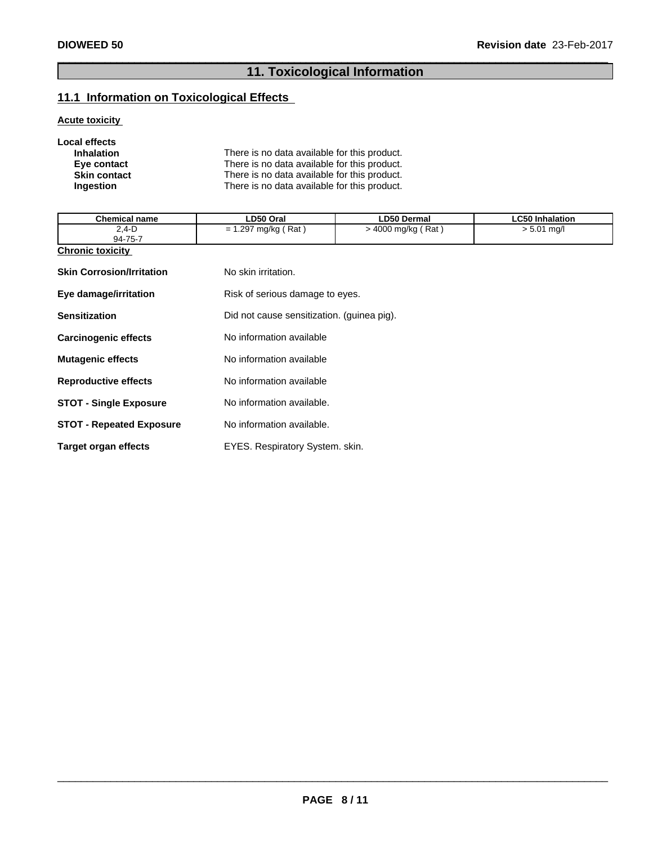## **11. Toxicological Information**

## **11.1 Information on Toxicological Effects**

## **Acute toxicity**

| Local effects       |                                              |
|---------------------|----------------------------------------------|
| <b>Inhalation</b>   | There is no data available for this product. |
| Eye contact         | There is no data available for this product. |
| <b>Skin contact</b> | There is no data available for this product. |
| <b>Ingestion</b>    | There is no data available for this product. |

| <b>Chemical name</b>             | LD50 Oral                                  | <b>LD50 Dermal</b>   | <b>LC50 Inhalation</b> |
|----------------------------------|--------------------------------------------|----------------------|------------------------|
| $2,4 - D$<br>94-75-7             | $= 1.297$ mg/kg (Rat)                      | $>$ 4000 mg/kg (Rat) | $> 5.01$ mg/l          |
| <b>Chronic toxicity</b>          |                                            |                      |                        |
| <b>Skin Corrosion/Irritation</b> | No skin irritation.                        |                      |                        |
| Eye damage/irritation            | Risk of serious damage to eyes.            |                      |                        |
| <b>Sensitization</b>             | Did not cause sensitization. (guinea pig). |                      |                        |
| <b>Carcinogenic effects</b>      | No information available                   |                      |                        |
| <b>Mutagenic effects</b>         | No information available                   |                      |                        |
| <b>Reproductive effects</b>      | No information available                   |                      |                        |
| <b>STOT - Single Exposure</b>    | No information available.                  |                      |                        |
| <b>STOT - Repeated Exposure</b>  | No information available.                  |                      |                        |
| <b>Target organ effects</b>      | EYES. Respiratory System. skin.            |                      |                        |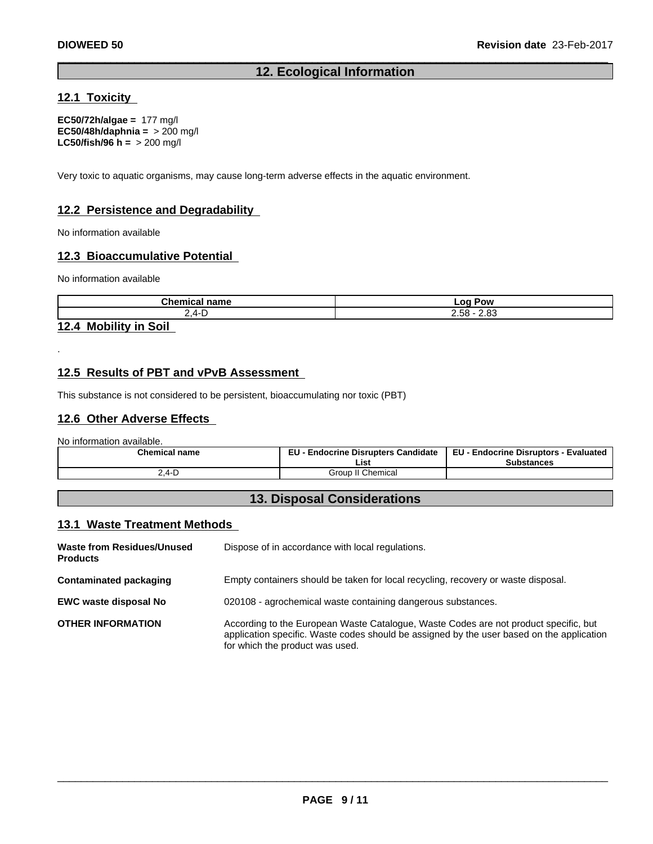## **12. Ecological Information**

## **12.1 Toxicity**

**EC50/72h/algae =** 177 mg/l **EC50/48h/daphnia =** > 200 mg/l **LC50/fish/96 h =** > 200 mg/l

Very toxic to aquatic organisms, may cause long-term adverse effects in the aquatic environment.

## **12.2 Persistence and Degradability**

No information available

## **12.3 Bioaccumulative Potential**

No information available

| <b>Chemic</b><br>----<br>пань | റ്റ<br>Pow<br>.<br>--                                  |
|-------------------------------|--------------------------------------------------------|
| ⁄ı.                           | $\sim$<br>$ \sim$<br>אס.∠<br>$\mathbf{1}$<br>__<br>___ |

## **12.4 Mobility in Soil**

.

## **12.5 Results of PBT and vPvB Assessment**

This substance is not considered to be persistent, bioaccumulating nor toxic (PBT)

## **12.6 Other Adverse Effects**

No information available.

| <b>Chemical name</b>                               | <b>Endocrine Disrupters Candidate</b><br>cu. | EU.<br>- Endocrine Disruptors<br>Evaluated<br>EU- |  |
|----------------------------------------------------|----------------------------------------------|---------------------------------------------------|--|
|                                                    | List                                         | Substances                                        |  |
| ′ 4 レ<br>$\sim$ $\sim$ $\sim$ $\sim$ $\sim$ $\sim$ | . Chemical<br>Group                          |                                                   |  |

## **13. Disposal Considerations**

## **13.1 Waste Treatment Methods**

| Waste from Residues/Unused<br><b>Products</b> | Dispose of in accordance with local regulations.                                                                                                                                                                     |
|-----------------------------------------------|----------------------------------------------------------------------------------------------------------------------------------------------------------------------------------------------------------------------|
| <b>Contaminated packaging</b>                 | Empty containers should be taken for local recycling, recovery or waste disposal.                                                                                                                                    |
| <b>EWC waste disposal No</b>                  | 020108 - agrochemical waste containing dangerous substances.                                                                                                                                                         |
| <b>OTHER INFORMATION</b>                      | According to the European Waste Catalogue, Waste Codes are not product specific, but<br>application specific. Waste codes should be assigned by the user based on the application<br>for which the product was used. |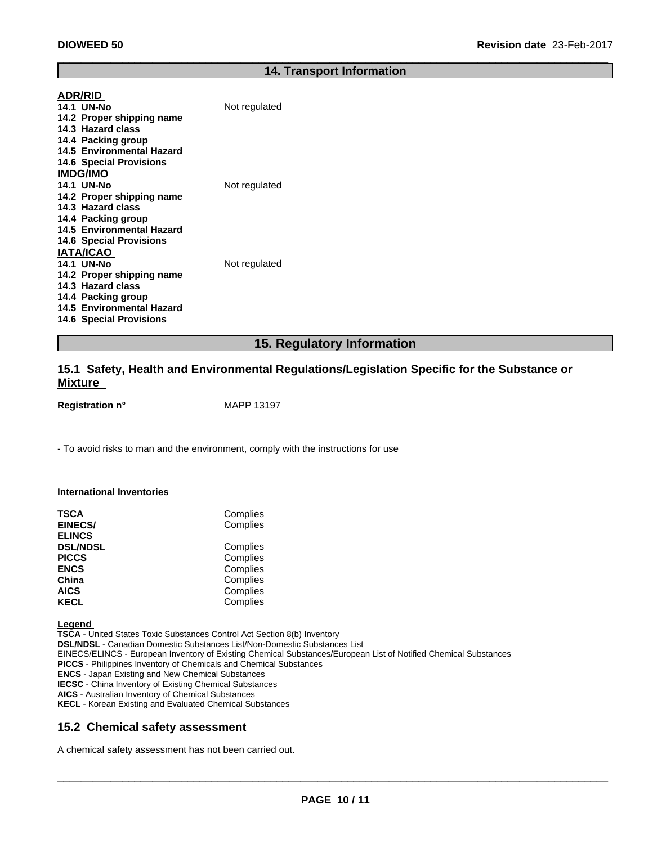#### **14. Transport Information**

| <b>ADR/RID</b>                 |               |
|--------------------------------|---------------|
| <b>14.1 UN-No</b>              | Not regulated |
| 14.2 Proper shipping name      |               |
| 14.3 Hazard class              |               |
| 14.4 Packing group             |               |
| 14.5 Environmental Hazard      |               |
| <b>14.6 Special Provisions</b> |               |
| <b>IMDG/IMO</b>                |               |
| <b>14.1 UN-No</b>              | Not regulated |
| 14.2 Proper shipping name      |               |
| 14.3 Hazard class              |               |
| 14.4 Packing group             |               |
| 14.5 Environmental Hazard      |               |
| <b>14.6 Special Provisions</b> |               |
| <b>IATA/ICAO</b>               |               |
| <b>14.1 UN-No</b>              | Not regulated |
| 14.2 Proper shipping name      |               |
| 14.3 Hazard class              |               |
| 14.4 Packing group             |               |
| 14.5 Environmental Hazard      |               |
| <b>14.6 Special Provisions</b> |               |
|                                |               |

## **15. Regulatory Information**

## **15.1 Safety, Health and Environmental Regulations/Legislation Specific for the Substance or Mixture**

**Registration n°** MAPP 13197

- To avoid risks to man and the environment, comply with the instructions for use

#### **International Inventories**

| <b>TSCA</b><br><b>EINECS/</b><br><b>ELINCS</b> | Complies<br>Complies |
|------------------------------------------------|----------------------|
| <b>DSL/NDSL</b>                                | Complies             |
| <b>PICCS</b>                                   | Complies             |
| <b>ENCS</b>                                    | Complies             |
| China                                          | Complies             |
| <b>AICS</b>                                    | Complies             |
| <b>KECL</b>                                    | Complies             |

**Legend** 

**TSCA** - United States Toxic Substances Control Act Section 8(b) Inventory **DSL/NDSL** - Canadian Domestic Substances List/Non-Domestic Substances List EINECS/ELINCS - European Inventory of Existing Chemical Substances/European List of Notified Chemical Substances **PICCS** - Philippines Inventory of Chemicals and Chemical Substances **ENCS** - Japan Existing and New Chemical Substances **IECSC** - China Inventory of Existing Chemical Substances **AICS** - Australian Inventory of Chemical Substances **KECL** - Korean Existing and Evaluated Chemical Substances

## **15.2 Chemical safety assessment**

A chemical safety assessment has not been carried out.